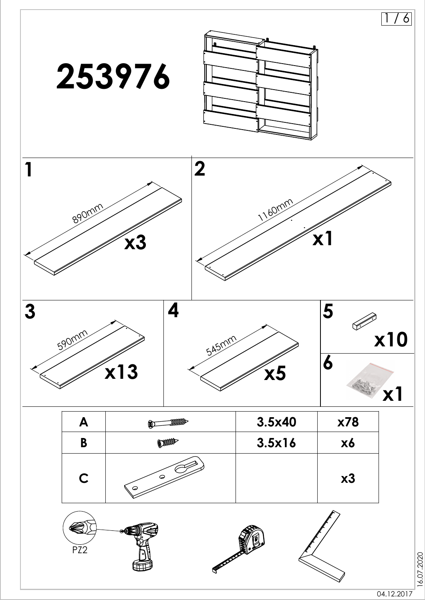

16.07.2020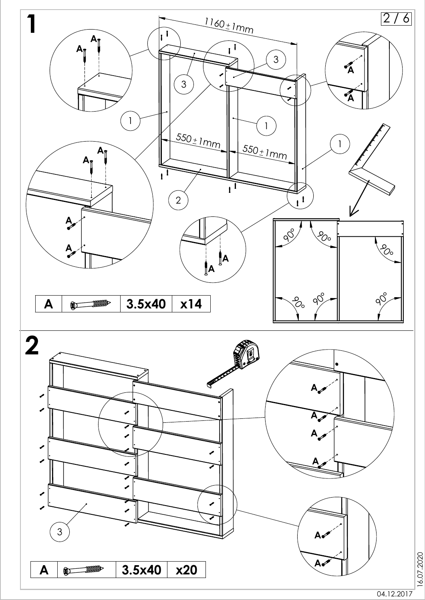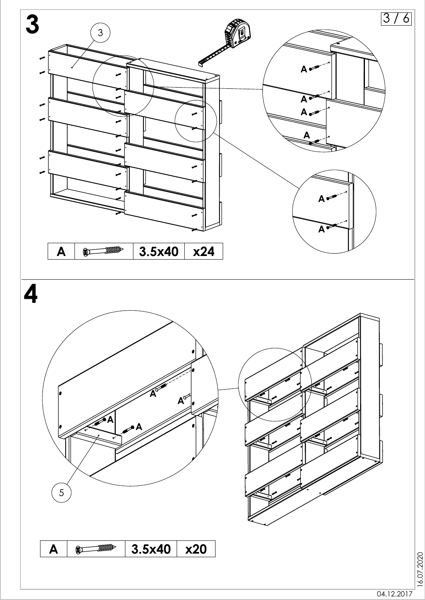

04.12.2017

16.07.2020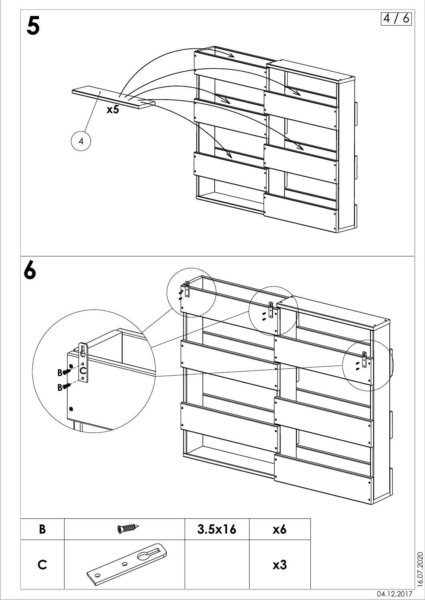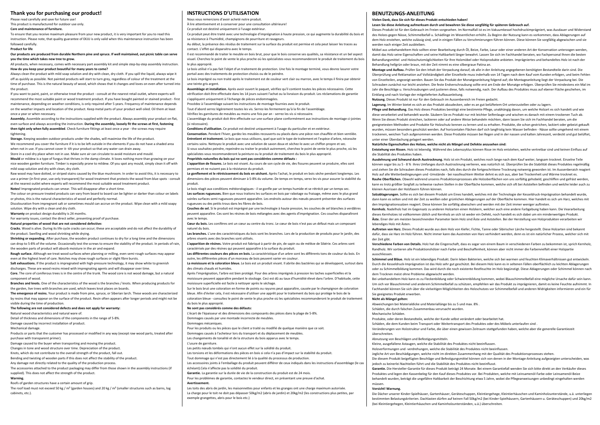## **Thank you for purchasing our product!**

Please read carefully and save for future use! This product is manufactured for outdoor use only.

## **Care and maintenance of furniture.**

To ensure that you receive maximum pleasure from your new product, it is very important for you to read this instruction. Please note, that quality guarantee of EKJU is only valid when this maintenance instruction has been

### followed carefully. **Product for life**

**Our products are produced from durable Northern pine and spruce. If well maintained, out picnic table can serve you the time which takes new tree to grow.**

All products, when necessary, comes with necessary part assembly kit and simple step-by-step assembly instruction. **How do you keep your product beautiful for many years to come?**

Always clean the product with mild soap solution and dry with clean, dry cloth. If you spill the liquid, always wipe it off as quickly as possible. Not painted products will start to turn grey, regardless of colour of the treatment at the time of purchase. This is the natural beauty of wood, which shows that it changes and loves on even after turned into the product.

If you want to paint, paint, or otherwise treat the product - consult at the nearest retail outlet, where experts will recommend the most suitable paint or wood treatment product. If you have bought painted or stained product - first maintenance, depending on weather conditions, is only required after 5 years. Frequency of maintenance depends on the weather impacts and location of the product. Keep metal parts of your product well oiled. Oil them at least once a year or when necessary.

**Assembly.** Assemble according to the instructions supplied with the product. Always assembly your product on flat, even surface and always according the instruction. **During the assembly, loosely fit the screws at first, fastening then tight only when fully assembled**. Check furniture fittings at least once a year - the screws may require tightening.

**Storage.** Keeping wooden outdoor products under the shades, will maximise the life of the product. We recommend you cover the furniture if it is to be left outside in the elements if you do not have a shaded area

when not in use. If you cannot cover it- tilt your product so that any water can drain away.

Store in a cool dry place when not in use. Make sure air can circulate to avoid moisture and mould.

**Mould** or mildew is a type of fungus that thrives in the damp climate. It loves nothing more than growing on your nice wooden garden furniture. Timber is especially prone to mildew. Of you spot any mould, simply clean it off with mild soap solution and dry with clean, dry cloth.

Raw wood may have dotted, or striped stains caused by the blue mushroom. In order to avoid this, it is necessary to use a primer (in first year, use only transparent) for wood treatment that protects the wood from blue spots - consult at the nearest outlet where experts will recommend the most suitable wood treatment product.

**Notes!** Impregnated products can smear. This will disappear after a short time.

The colour on pressure treated products can vary from board to board can be lighter or darker than colour on labels or photos, this is the natural characteristics of wood and perfectly normal.

Discolouration from impregnant salt or sometimes mould can accrue on the product. Wipe clean with a mild soapy solution. Wipe dry with a clean and dry cloth.

**Warranty** on product design durability is 24 months.

For warranty issues, contact the direct seller, presenting proof of purchase.

## **Natural properties of wood that are not considered defective:**

**Cracks.** Wood is alive. During its life cycle cracks can occur; these are acceptable and do not affect the durability of the product. Swelling and wood shrinking while drying.

**Shrinking or expanding.** After purchase, the wooden product continues to dry for a long time and the dimensions can drop to 5-8% of the volume. Occasionally test the screws to ensure the stability of the product. In periods of rain

the wooden parts of product will absorb moisture in the air and expand.

**Rough surface.** Although we treat wood surfaces when planning or milling, even semi-rough surfaces may appear even at the highest level of care. Notches may show rough surfaces or slight fibre bursts.

**Salt exhaustions.** If the product is impregnated with high-pressure technology, it may show white to greenish discharges. These are wood resins mixed with impregnating agents and will disappear over time.

**Core.** The core of coniferous trees is in the centre of the trunk. The wood core is not wood damage, but a natural component of wood.

**Branches and knots.** One of the characteristics of the wood is the branches / knots. When producing products for the garden, live trees with branches are used, which leaves knot places on boards.

**The emergence of resins.** Your product is made from pine, spruce, or Siberian larch. These woods are characterized by resins that may appear on the surface of the product. Resin often appears after longer periods and might not be visible during the time of production.

**The following are not considered defects and does not apply for warranty:**

Natural wood characteristics and natural ware of.

Detail of thickness and dimensions of the components in the range of 5-8%.

Damage caused by incorrect installation of product.

Mechanical damage.

Products or parts that the customer has processed or modified in any way (except raw wood parts, treated after purchase with transparent primer).

Damage caused to the buyer when transporting and moving the product.

Changes in tone and wood structure over time. Depreciation of the product.

Knots, which do not contribute to the overall strength of the product, fall out.

Bending and twisting of wooden parts if this does not affect the stability of the product.

Any damage not directly related to the quality of the production process.

The accessories attached to the product packaging may differ from those shown in the assembly instructions (if supplied). This does not affect the strength of the product.

## **Warning.**

Roofs of garden structures have a certain amount of grip.

The roof load must not exceed 50 kg / m² (garden houses) and 20 kg / m² (smaller structures such as barns, log cabinets, etc.).

# **INSTRUCTIONS D'UTILISATION**

Nous vous remercions d'avoir acheté notre produit.

À lire attentivement et à conserver pour une consultation ultérieure! Ce produit est destiné uniquement à l'usage extérieur.

Ce produit peut être traité avec une technologie d'imprégnation à haute pression, ce qui augmente la durabilité du bois et sa résistance à l'humidité, champignons de pourriture et ravageurs.

Au début, la présence des résidus de traitement sur la surface du produit est permise et cela peut laisser les traces au contact. L'effet qui disparaitra avec le temps.

Il est recommandé de traiter le meuble en bois brut, pour que le bois conserve ses qualités, sa résistance et un bel aspect visuel. Cherchez le point de vente le plus proche où les spécialistes vous recommanderont le produit de traitement du bois le plus approprié.

Le bois utilisé n'a pas fait l'objet d'un traitement de protection. Une fois le montage terminé, vous devrez lasurer votre portail avec des traitements de protection choisis ou de le peindre.

Le bois imprégné ou non traité après le traitement est de couleur vert clair ou marron, avec le temps il finira par obtenir une teinte gris argent.

**Assemblage et installation.** Après avoir ouvert le paquet, vérifiez qu'il contient toutes les pièces nécessaires. Cette vérification doit être effectuée dans les 14 jours suivant l'achat ou la livraison du produit. Les réclamations de garantie s'appliquent uniquement à l'échange de pièces endommagées.

Procédez à l'assemblage suivant les instructions de montage fournies avec le produit.

Tout d'abord serrez légèrement toutes les vis. Serrez-les fermement qu'à la fin de l'assemblage.

Vérifiez les garnitures de meubles au moins une fois par an - serrez les vis si nécessaire.

L'assemblage du produit doit être effectuée sur une surface plane conformément aux instructions de montage ci-jointes (si nécessaire).

**Conditions d'utilisation.** Ce produit est destiné uniquement à l'usage du particulier et en extérieur.

**Conservation.** Pendant l'hiver, gardez les meubles recouverts ou placés dans une pièce non chauffée et bien ventilée. **Entretient et traitement.** Le bois que nous utilisons, quel que soit le type de traitement et l'espèce d'arbre, nécessite certains soins. Nettoyez le produit avec une solution de savon doux et séchez-le avec un chiffon propre et sec. Si vous souhaitez peindre, repeindre ou traiter le produit autrement, cherchez le point de vente le plus proche, où les

spécialistes vous recommanderont la peinture ou le produit de traitement du bois le plus approprié. **Propriétés naturelles du bois qui ne sont pas considérées comme défauts :**

**L'apparition de fissures.** Le bois est vivant. Au cours de son cycle de vie, des fissures peuvent se produire, elles sont permises et ne nuisent pas à la résistance du produit.

**Le gonflement et le rétrécissement du bois en séchant.** Après l'achat, le produit en bois sèche pendant longtemps. Les dimensions des pièces peuvent diminuer à 5-8% du volume. De temps en temps, serez les vis pour assurer la stabilité du produit.

Le bois réagit aux conditions météorologiques - il se gonfle par un temps humide et se rétrécit par un temps sec. **Les surfaces rugueuses.** Bien que nous traitons les surfaces en bois par rabotage ou fraisage, même avec le plus grand soinles surfaces semi-rugueuses peuvent apparaître. Les endroits autour des nœuds peuvent présenter des surfaces rugueuses ou des petits trous dans les fibres de bois.

**Couches de sel.** Si le produit est imprégné par une technologie à haute pression, les couches de sel blanches à verdâtres peuvent apparaître. Ces sont les résines de bois mélangées avec des agents d'imprégnation. Ces couches disparaîtront avec le temps.

**Cœur du bois.** Les conifères ont un cœur au centre du tronc. Le cœur de bois n'est pas un défaut mais un composant naturel du bois.

Les branches. L'une des caractéristiques du bois sont les branches. Lors de la production de produits pour le jardin, des arbres vivants avec des branches sont utilisés.

**L'apparition de résines.** Votre produit est fabriqué à partir de pin, de sapin ou de mélèze de Sibérie. Ces arbres sont caractérisés par des résines qui peuvent apparaître à la surface du produit.

**Les différentes couleurs des pièces en bois.** La caractéristique d'un arbre sont les différents tons de couleur du bois. En outre, les différentes pièces d'un morceau de bois peuvent varier en couleur.

**La moisissure et la coloration bleue.** Le bois est un produit vivant. Il abrite des bactéries qui se développent, surtout dans des climats chauds et humides.

Après l'imprégnation, l'arbre est bien protégé. Pour des arbres imprégnés à pression les taches superficielles et la moisissure peuvent apparaître pendant le stockage. Ceci est dû au taux d'humidité élevé dans l'arbre. D'habitude, cette moisissure superficielle est facile à nettoyer après le séchage.

Sur le bois brut une coloration en forme de points ou rayures peut apparaître, causée par le champignon de coloration bleue. Afin d'éviter cela, il est nécessaire d'utiliser une apprêt pour le traitement du bois qui protège le bois de la coloration bleue - consultez le point de vente le plus proche où les spécialistes recommanderont le produit de traitement du bois le plus approprié.

### **Ne sont pas considérés comme des défauts:**

L'écart de l'épaisseur et des dimensions des composants des pièces dans la plage de 5-8%. Dommages causés par une montade incorrecte de meubles. Dommages mécaniques. Pour les produits ou les pièces que le client a traité ou modifié de quelque manière que ce soit.

Dommages causés à l'acheteur lors du transport et du déplacement de meubles.

Les changements de tonalité et de la structure du bois apparus avec le temps.

L'usure de garniture.

Les petits nœuds tombés qui n'ont aucun effet sur la solidité du produit.

Les torsions et les déformations des pièces en bois si cela n'a pas d'impact sur la stabilité du produit.

Tout dommage qui n'est pas directement lié à la qualité du processus de production.

Les accessoires joints à l'emballage du produit peuvent différer de ceux indiqués dans les instructions d'assemblage (le cas échéant).Cela n'affecte pas la solidité du produit.

**Garantie.** La garantie sur la durée de vie de la construction du produit est de 24 mois. Pour les problèmes de garantie, contactez le vendeur direct, en présentant une preuve d'achat.

**Avertissement.** 

Les toits des abris de jardin, les maisonnettes pour enfants et les granges ont une charge maximum autorisée. La charge pour le toit ne doit pas dépasser 50kg/m2 (abris de jardin) et 20kg/m2 (les constructions plus petites, par exemple grangettes, abris pour le bois etc.)

## **BENUTZUNGS-ANLEITUNG**

kleinen Ausrissen der Holzfasern führen können.

dem Trocknen meist ohne Probleme abgewischt werden.

Abnutzung von Beschlägen und Befestigungsmitteln.

Abweichungen bei Materialdicke und Materiallänge bis zu 5 und max. 8% . Schäden, die durch falschen Zusammenbau verursacht wurden.

Produkte, oder deren Bestandteile, welche der Kunde selbst verändert oder bearbeitet hat.

Kleine, ausgefallene Astaugen, welche die Stabilität des Produktes nicht beeinflussen. Holzverformungen und -verdrehungen, welche die Stabilität des Produktes nicht beeinflussen.

jedoch zu keinerlei Nachteilen führt und die Stabilität des Produktes nicht beeinflusst.

(bei Kleintiergehegen, Kleintierhäuschen und Kaminholzunterständen, u.ä.) überschreiten.

Schäden, die dem Kunden beim Transport oder Weitertransport des Produktes oder des Möbels unterlaufen sind .

Jegliche Art von Beschädigungen, welche nicht im direkten Zusammenhang mit der Qualität des Produktionsprozesses stehen.

lebendiges Holz mit Ästen.

Sie geeignetes Produkt erwerben. **Nicht als Mängel gelten:**

Mechanische Schäden.

überschreiten.

müssen. **Vorsicht! Warnung.**

der Zeit gibt.

ausschliessen.

**Vielen Dank, dass Sie sich für dieses Produkt entschieden haben!**

**Lesen Sie diese Anleitung aufmerksam durch und bewahren Sie diese sorgfältig für späteren Gebrauch auf.**

Dieses Produkt ist für den Gebrauch im Freien vorgesehen. Im Normalfall ist es im Vakuumkessel hochdruckimprägniert, was Ausdauer und Widerstand des Holzes gegen Nässe, Schimmelbefall u. Schädlinge im Wesentlichen erhöht. Zu Beginn der Nutzung kann es vorkommen, dass Ablagerungen auf dem Holz enstehen, welche zulässig sind, und in einigen Fällen zu Verschmierungen führen können. Diese können Sie sorgfältig abgewischen und sie werden nach einiger Zeit ausbleiben.

Möbel aus unbehandeltem Holz sollten einer Bearbeitung durch Öl, Beize, Farbe, Lasur oder einer anderen Art der Konservation unterzogen werden, damit das Holz seine Eigenschaften und seine Haltbarkeit länger bewahrt. Lassen Sie sich im Fachhandel beraten, wo Fachpersonal Ihnen die besten Behandlungsmittel und Holzschutzmöglichkeiten für Ihre Holzmöbel oder Holzprodukte anbieten. Imprägniertes und behandeltes Holz ist nach der Behandlung hellgrün oder braun, mit der Zeit nimmt es eine silbergraue Patina an.

**Montage und Aufbau.** Prüfen Sie den Inhalt der Verpackung darauf, ob alle in der Anleitung angegebenen benötigten Bestandteile darin sind. Die Überprüfung und Reklamation auf Vollständigkeit aller Einzelteile muss inderhalb von 14 Tagen nach dem Kauf vom Kunden erfolgen, und beim Fehlen von Einzelteilen, angezeigt werden. Bauen Sie das Produkt der Monatgeanleitung folgend auf; die Montageanleitung liegt der Verpackung bei. Die Schrauben zunächst nur leicht anziehen. Die feste Endverschraubung sollte erst am Ende der Monatge erfolgen. Überprüfen Sie mindestens ein Mal im Jahr die Beschläge u. Verschraubungen und justieren diese, falls notwendig, nach. Der Aufbau des Produktes muss auf ebener Fläche geschehen, im Einklang und nach Vorlage der mitgelieferten Aufbauanleitung.

**Nutzung.** Dieses Produkt ist nur für den Gebrauch im Aussenbereich im Freien gedacht.

**Lagerung.** Im Winter bietet es sich an das Produkt abzudecken, oder es an gut belüftetem Ort unterzustellen oder zu lagern.

**Pflege und Behandlung.** Das Holz dieses Produktes benötigt eine bestimmte Pflege, unabhängig davon, um welche Holzart es sich handelt und wie diese verarbeitet und behandelt wurde. Säubern Sie es Produkt nur mit leichter Seifenlauge und wischen es danach mit einem trockenen Tuch ab. Wenn Sie dieses Produkt streichen, lackieren oder auf andere Weise behandeln möchten, dann lassen Sie sich im Fachhandel beraten, um die

geeignetesten Methoden und Produkte für Holzschutz kennen zu lernen und zu erhalten. Produkte, die schon gestrichen, lackiert oder gebeizt gekauft wurden, müssen besonders geschützt werden. Auf horizontalen Flächen darf sich langfristig kein Wasser befinden - Nässe sollte umgehend mit einem trockenen, weichen Tuch aufgenommen werden. Diese Produkte müssen bei Regen und in der nassen und kalten Jahreszeit, verdeckt und gut belüftet, unter einer Überdachung gelagert werden.

**Natürliche Eigenschaften des Holzes, welche nicht als Mängel und Defekte anzusehen sind:**

**Entstehung von Rissen.** Holz ist lebendig. Während des Lebenszyklus können Risse im Holz entstehen, welche vertretbar sind und keinen Einfluss auf die Stabilität des Produktes haben.

**Ausdehnung und Schwund durch Austrocknung.** Holz ist ein Produkt, welches noch lange nach dem Kauf weiter, langsam trocknet. Einzelne Teile können sogar bis zu 5 - 8 % ihres Umfanges durch Austrocknung verlieren, was natürlich ist. Überprüfen Sie die Stabilität dieses Produktes regelmäßig und ziehen Sie die Schrauben dieses Produktes nach, falls dies durch die fortgeschrittene Trocknung notwenig geworden ist. Im Aussenberaich reagiert Holz auf alle Wetterbedingeungen und -Umstände - bei nassfeuchtem Wetter dehnt es sich aus, aber bei Trockenheit und Wärme trocknet es. **Rauhe Oberflächen.** Obwohl während unseres Produktionsprozesses alle Holzoberflächen von uns sorfältig gehobeld, geschliffen und gefräst werden,

kann es trotz größter Sorgfalt zu teilweise rauhen Stellen in der Oberfläche kommen, welche sich oft bei Aststellen befinden und welche leider auch zu

**Salzablagerungen.** Sollte es sich bei diesem Produkt um Eines handelt, welches mit der Technologie der Kesseldruck-Imprägnation behandelt wurde, dann kann es selten und mit der Zeit zu weißen oder grünlichen Ablagerungen auf der Oberfläche kommen. Hier handelt es sich um Harz, welches mit

**Kernholz.** Nadelholz hat im Gegensatz zu anderen Holzarten einen Holzkern, welcher auch eine andere Farbgebung haben kann. Die Veararbeitung dieses Kernholzes ist vollkommen üblich und Kernholz an sich ist weder ein Defekt, noch handelt es sich dabei um ein minderwertiges Produkt. **Äste.** Einer der am meisten bezeichnenden Parameter beim Holz sind Äste und Aststellen. Bei der Herstellung von Holzprodukten verarbeiten wir

**Auftreten von Harz.** Dieses Produkt wurde aus dem Holz von Kiefer, Fichte, Tanne oder Sibirischer Lärche hergestellt. Diese Holzarten sind bekannt dafür, dass sie Harz im Holz führen. Nicht immer kann das Austreten von Harz verhindert werden, denn es ist ein natürlicher Prozess, welcher sich mit

**Verschiedene Farben von Details.** Holz hat die Eingenschaft, dass es sogar von einem Baum in verschiedenen Farben zu bekommen ist, sprich Kernholz, Randholz. Wir sortieren alle Produktionshölzer nach Farbe und Beschaffenheit, können aber nicht immer die Farbenvielfalt einer Holzpartie

**Schimmel und Bläue.** Holz ist ein lebendiges Produkt. Darin leben Bakterien, welche sich bei warmen und feuchten Klimaverhältnissen gut entwickeln. Durch die Kesseldruck-Imprägnation ist das Holz sehr gut geschützt. Bei diesem Holz kann es in seltenen Fällen oberflächlich zu leichten Ablagerungen oder zu Schimmelbildung kommen. Das wird durch die noch existente Restfeuchte im Holz begünstigt. Diese Ablagerungen oder Schimmel können nach

Bei unbehandeltem Holz kann es zu Fleckenbildung oder Schwierenbildung kommen, wobei Blauschimmelbefall eine mögliche Ursache dafür sein kann. Um sich vor Blauschimmel und anderem Schimmelbefall zu schützen, empfehlen wir das Produkt zu imprägnieren, damit es keine Feuchte aufnimmt. In Fachhandel können Sie sich über die vielseitigen Möglichkeiten des Holzschutzes vor Schimmelbefall und anderen Widrigkeiten informieren und ein für

Veränderungen von Holzstruktur und Farbe, die über einen gewissen Zeitraum stattgefunden haben, welche aber die generelle Garantiezeit

Die diesem Produkt beigefügten Beschläge und Befestigungsmittel können sich von denen in der Montage-Anleitung aufgezeigten unterscheiden, was

**Garantie.** Die Hersteller-Garantie für dieses Produkt beträgt 24 Monate. Bei einem Garantiefall wenden Sie sich bitte direkt an den Verkäufer dieses Produktes und legen den Kassenbeleg für den Kauf dieses Produktes vor. Bei Produkten, welche mit Leinsamenöl-Farbe oder Leinsamenöl-Beize behandelt wurden, beträgt die ungefähre Haltbarkeit der Beschichtung etwa 5 Jahre, wobei die Pflegeanweisungen unbedingt eingehalten werden

Die Dächer unserer Kinder-Spielhäuser, Gartenhäuser, Geräteschuppen, Kleintiergehege, Kleintierhäuschen und Kaminholzunterstände, u.ä. unterliegen bestimmten Belastungskriterien. Dachlasten dürfen auf keinen Fall 50kg/m2 (bei Kinder-Spielhäusern, Gartenhäusern u. Geräteschuppen) und 20kg/m2

den Imprägnationssalzen reagiert. Diese können Sie sorfältig abwischen und werden mit der Zeit immer weniger auftreten.